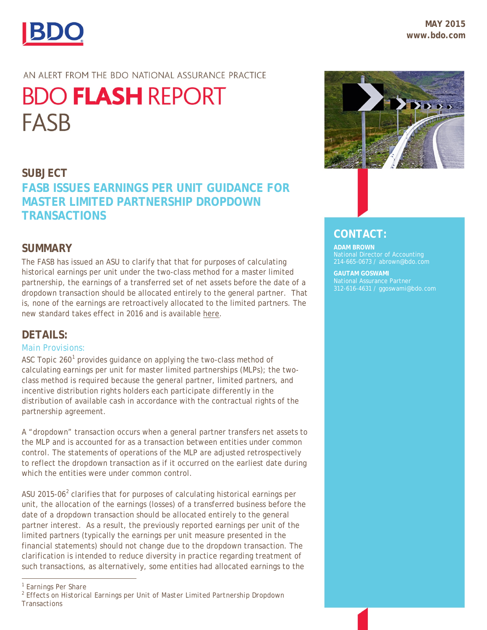

#### AN ALERT FROM THE BDO NATIONAL ASSURANCE PRACTICE

# **BDO FLASH REPORT FASB**

## **SUBJECT FASB ISSUES EARNINGS PER UNIT GUIDANCE FOR MASTER LIMITED PARTNERSHIP DROPDOWN TRANSACTIONS**

### **SUMMARY**

The FASB has issued an ASU to clarify that that for purposes of calculating historical earnings per unit under the two-class method for a master limited partnership, the earnings of a transferred set of net assets before the date of a dropdown transaction should be allocated entirely to the general partner. That is, none of the earnings are retroactively allocated to the limited partners. The new standard takes effect in 2016 and is available [here.](http://www.fasb.org/cs/ContentServer?c=Document_C&pagename=FASB%2FDocument_C%2FDocumentPage&cid=1176165977464)

#### **DETAILS:**

#### *Main Provisions:*

ASC Topic  $260<sup>1</sup>$  $260<sup>1</sup>$  $260<sup>1</sup>$  provides guidance on applying the two-class method of calculating earnings per unit for master limited partnerships (MLPs); the twoclass method is required because the general partner, limited partners, and incentive distribution rights holders each participate differently in the distribution of available cash in accordance with the contractual rights of the partnership agreement.

A "dropdown" transaction occurs when a general partner transfers net assets to the MLP and is accounted for as a transaction between entities under common control. The statements of operations of the MLP are adjusted retrospectively to reflect the dropdown transaction as if it occurred on the earliest date during which the entities were under common control.

ASU [2](#page-0-1)015-06<sup>2</sup> clarifies that for purposes of calculating historical earnings per unit, the allocation of the earnings (losses) of a transferred business before the date of a dropdown transaction should be allocated entirely to the general partner interest. As a result, the previously reported earnings per unit of the limited partners (typically the earnings per unit measure presented in the financial statements) should not change due to the dropdown transaction. The clarification is intended to reduce diversity in practice regarding treatment of such transactions, as alternatively, some entities had allocated earnings to the



#### **CONTACT:**

**ADAM BROWN** 214-665-0673 / abrown@bdo.com

**GAUTAM GOSWAMI** 312-616-4631 / ggoswami@bdo.com

 $\overline{a}$ <sup>1</sup> *Earnings Per Share*

<span id="page-0-1"></span><span id="page-0-0"></span><sup>2</sup> *Effects on Historical Earnings per Unit of Master Limited Partnership Dropdown Transactions*